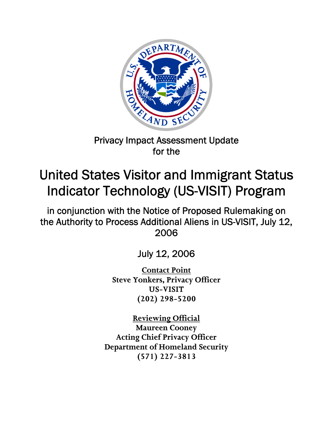

## Privacy Impact Assessment Update for the

# United States Visitor and Immigrant Status Indicator Technology (US-VISIT) Program

in conjunction with the Notice of Proposed Rulemaking on the Authority to Process Additional Aliens in US-VISIT, July 12, 2006

July 12, 2006

**Contact Point Steve Yonkers, Privacy Officer US-VISIT (202) 298-5200** 

**Reviewing Official Maureen Cooney Acting Chief Privacy Officer Department of Homeland Security (571) 227-3813**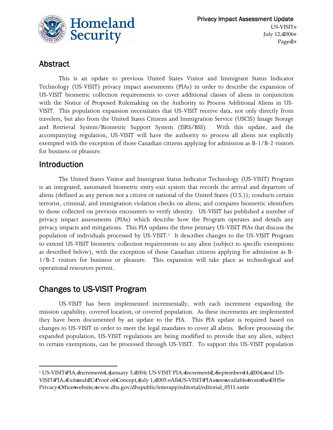

### Abstract

This is an update to previous United States Visitor and Immigrant Status Indicator Technology (US-VISIT) privacy impact assessments (PIAs) in order to describe the expansion of US-VISIT biometric collection requirements to cover additional classes of aliens in conjunction with the Notice of Proposed Rulemaking on the Authority to Process Additional Aliens in US-VISIT. This population expansion necessitates that US-VISIT receive data, not only directly from travelers, but also from the United States Citizens and Immigration Service (USCIS) Image Storage and Retrieval System/Biometric Support System (ISRS/BSS). With this update, and the accompanying regulation, US-VISIT will have the authority to process all aliens not explicitly exempted with the exception of those Canadian citizens applying for admission as B-1/B-2 visitors for business or pleasure.

### Introduction

The United States Visitor and Immigrant Status Indicator Technology (US-VISIT) Program is an integrated, automated biometric entry-exit system that records the arrival and departure of aliens (defined as any person not a citizen or national of the United States (U.S.)); conducts certain terrorist, criminal, and immigration violation checks on aliens; and compares biometric identifiers to those collected on previous encounters to verify identity. US-VISIT has published a number of privacy impact assessments (PIAs) which describe how the Program operates and details any privacy impacts and mitigations. This PIA updates the three primary US-VISIT PIAs that discuss the population of individuals processed by US-VISIT.<sup>1</sup> It describes changes to the US-VISIT Program to extend US-VISIT biometric collection requirements to any alien (subject to specific exemptions as described below), with the exception of those Canadian citizens applying for admission as B-1/B-2 visitors for business or pleasure. This expansion will take place as technological and operational resources permit.

### Changes to US-VISIT Program

US-VISIT has been implemented incrementally, with each increment expanding the mission capability, covered location, or covered population. As these increments are implemented they have been documented by an update to the PIA. This PIA update is required based on changes to US-VISIT in order to meet the legal mandates to cover all aliens. Before processing the expanded population, US-VISIT regulations are being modified to provide that any alien, subject to certain exemptions, can be processed through US-VISIT. To support this US-VISIT population

<sup>1</sup> US-VISIT&IA, Increment 1, January 5, 2004; US-VISIT PIA, Increment 2, September 14, 2004; and US-VISIT@IA, Exitend@C@roof of Concept, July 1, @005.@AlldJS-VISIT@IAs @re@vailabledrom the DHS @ Privacy Office website, www.dhs.gov/dhspublic/interapp/editorial/editorial\_0511.xml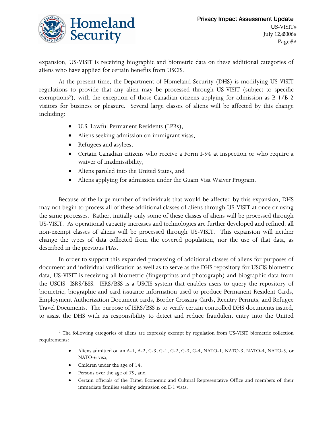

expansion, US-VISIT is receiving biographic and biometric data on these additional categories of aliens who have applied for certain benefits from USCIS.

At the present time, the Department of Homeland Security (DHS) is modifying US-VISIT regulations to provide that any alien may be processed through US-VISIT (subject to specific exemptions<sup>2</sup>), with the exception of those Canadian citizens applying for admission as B-1/B-2 visitors for business or pleasure. Several large classes of aliens will be affected by this change including:

- U.S. Lawful Permanent Residents (LPRs),
- Aliens seeking admission on immigrant visas,
- Refugees and asylees,
- Certain Canadian citizens who receive a Form I-94 at inspection or who require a waiver of inadmissibility,
- Aliens paroled into the United States, and
- Aliens applying for admission under the Guam Visa Waiver Program.

Because of the large number of individuals that would be affected by this expansion, DHS may not begin to process all of these additional classes of aliens through US-VISIT at once or using the same processes. Rather, initially only some of these classes of aliens will be processed through US-VISIT. As operational capacity increases and technologies are further developed and refined, all non-exempt classes of aliens will be processed through US-VISIT. This expansion will neither change the types of data collected from the covered population, nor the use of that data, as described in the previous PIAs.

In order to support this expanded processing of additional classes of aliens for purposes of document and individual verification as well as to serve as the DHS repository for USCIS biometric data, US-VISIT is receiving all biometric (fingerprints and photograph) and biographic data from the USCIS ISRS/BSS. ISRS/BSS is a USCIS system that enables users to query the repository of biometric, biographic and card issuance information used to produce Permanent Resident Cards, Employment Authorization Document cards, Border Crossing Cards, Reentry Permits, and Refugee Travel Documents. The purpose of ISRS/BSS is to verify certain controlled DHS documents issued, to assist the DHS with its responsibility to detect and reduce fraudulent entry into the United

- Aliens admitted on an A-1, A-2, C-3, G-1, G-2, G-3, G-4, NATO-1, NATO-3, NATO-4, NATO-5, or NATO-6 visa,
- Children under the age of 14,
- Persons over the age of 79, and
- Certain officials of the Taipei Economic and Cultural Representative Office and members of their immediate families seeking admission on E-1 visas.

<sup>&</sup>lt;sup>2</sup> The following categories of aliens are expressly exempt by regulation from US-VISIT biometric collection requirements: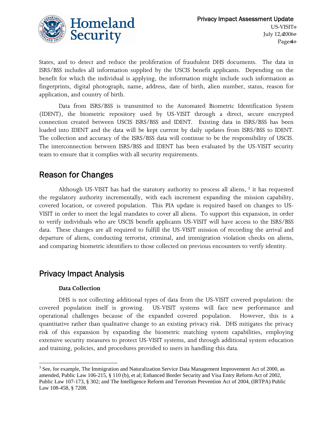

States, and to detect and reduce the proliferation of fraudulent DHS documents. The data in ISRS/BSS includes all information supplied by the USCIS benefit applicants. Depending on the benefit for which the individual is applying, the information might include such information as fingerprints, digital photograph, name, address, date of birth, alien number, status, reason for application, and country of birth.

Data from ISRS/BSS is transmitted to the Automated Biometric Identification System (IDENT), the biometric repository used by US-VISIT through a direct, secure encrypted connection created between USCIS ISRS/BSS and IDENT. Existing data in ISRS/BSS has been loaded into IDENT and the data will be kept current by daily updates from ISRS/BSS to IDENT. The collection and accuracy of the ISRS/BSS data will continue to be the responsibility of USCIS. The interconnection between ISRS/BSS and IDENT has been evaluated by the US-VISIT security team to ensure that it complies with all security requirements.

### Reason for Changes

Although US-VISIT has had the statutory authority to process all aliens,  $3$  it has requested the regulatory authority incrementally, with each increment expanding the mission capability, covered location, or covered population. This PIA update is required based on changes to US-VISIT in order to meet the legal mandates to cover all aliens. To support this expansion, in order to verify individuals who are USCIS benefit applicants US-VISIT will have access to the ISRS/BSS data. These changes are all required to fulfill the US-VISIT mission of recording the arrival and departure of aliens, conducting terrorist, criminal, and immigration violation checks on aliens, and comparing biometric identifiers to those collected on previous encounters to verify identity.

### Privacy Impact Analysis

#### **Data Collection**

DHS is not collecting additional types of data from the US-VISIT covered population: the covered population itself is growing. US-VISIT systems will face new performance and operational challenges because of the expanded covered population. However, this is a quantitative rather than qualitative change to an existing privacy risk. DHS mitigates the privacy risk of this expansion by expanding the biometric matching system capabilities, employing extensive security measures to protect US-VISIT systems, and through additional system education and training, policies, and procedures provided to users in handling this data.

 $3$  See, for example, The Immigration and Naturalization Service Data Management Improvement Act of 2000, as amended, Public Law 106-215, § 110 (b), et al; Enhanced Border Security and Visa Entry Reform Act of 2002, Public Law 107-173, § 302; and The Intelligence Reform and Terrorism Prevention Act of 2004, (IRTPA) Public Law 108-458, § 7208.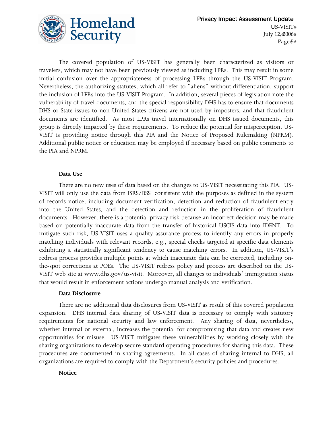

The covered population of US-VISIT has generally been characterized as visitors or travelers, which may not have been previously viewed as including LPRs. This may result in some initial confusion over the appropriateness of processing LPRs through the US-VISIT Program. Nevertheless, the authorizing statutes, which all refer to "aliens" without differentiation, support the inclusion of LPRs into the US-VISIT Program. In addition, several pieces of legislation note the vulnerability of travel documents, and the special responsibility DHS has to ensure that documents DHS or State issues to non-United States citizens are not used by imposters, and that fraudulent documents are identified. As most LPRs travel internationally on DHS issued documents, this group is directly impacted by these requirements. To reduce the potential for misperception, US-VISIT is providing notice through this PIA and the Notice of Proposed Rulemaking (NPRM). Additional public notice or education may be employed if necessary based on public comments to the PIA and NPRM.

#### **Data Use**

There are no new uses of data based on the changes to US-VISIT necessitating this PIA. US-VISIT will only use the data from ISRS/BSS consistent with the purposes as defined in the system of records notice, including document verification, detection and reduction of fraudulent entry into the United States, and the detection and reduction in the proliferation of fraudulent documents. However, there is a potential privacy risk because an incorrect decision may be made based on potentially inaccurate data from the transfer of historical USCIS data into IDENT. To mitigate such risk, US-VISIT uses a quality assurance process to identify any errors in properly matching individuals with relevant records, e.g., special checks targeted at specific data elements exhibiting a statistically significant tendency to cause matching errors. In addition, US-VISIT's redress process provides multiple points at which inaccurate data can be corrected, including onthe-spot corrections at POEs. The US-VISIT redress policy and process are described on the US-VISIT web site at www.dhs.gov/us-visit. Moreover, all changes to individuals' immigration status that would result in enforcement actions undergo manual analysis and verification.

#### **Data Disclosure**

There are no additional data disclosures from US-VISIT as result of this covered population expansion. DHS internal data sharing of US-VISIT data is necessary to comply with statutory requirements for national security and law enforcement. Any sharing of data, nevertheless, whether internal or external, increases the potential for compromising that data and creates new opportunities for misuse. US-VISIT mitigates these vulnerabilities by working closely with the sharing organizations to develop secure standard operating procedures for sharing this data. These procedures are documented in sharing agreements. In all cases of sharing internal to DHS, all organizations are required to comply with the Department's security policies and procedures.

#### **Notice**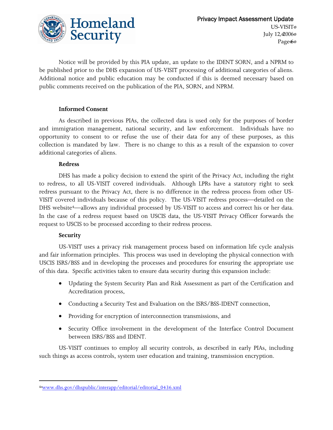

Notice will be provided by this PIA update, an update to the IDENT SORN, and a NPRM to be published prior to the DHS expansion of US-VISIT processing of additional categories of aliens. Additional notice and public education may be conducted if this is deemed necessary based on public comments received on the publication of the PIA, SORN, and NPRM.

#### **Informed Consent**

As described in previous PIAs, the collected data is used only for the purposes of border and immigration management, national security, and law enforcement. Individuals have no opportunity to consent to or refuse the use of their data for any of these purposes, as this collection is mandated by law. There is no change to this as a result of the expansion to cover additional categories of aliens.

#### **Redress**

DHS has made a policy decision to extend the spirit of the Privacy Act, including the right to redress, to all US-VISIT covered individuals. Although LPRs have a statutory right to seek redress pursuant to the Privacy Act, there is no difference in the redress process from other US-VISIT covered individuals because of this policy. The US-VISIT redress process—detailed on the DHS website<sup>4</sup>—allows any individual processed by US-VISIT to access and correct his or her data. In the case of a redress request based on USCIS data, the US-VISIT Privacy Officer forwards the request to USCIS to be processed according to their redress process.

#### **Security**

US-VISIT uses a privacy risk management process based on information life cycle analysis and fair information principles. This process was used in developing the physical connection with USCIS ISRS/BSS and in developing the processes and procedures for ensuring the appropriate use of this data. Specific activities taken to ensure data security during this expansion include:

- Updating the System Security Plan and Risk Assessment as part of the Certification and Accreditation process,
- Conducting a Security Test and Evaluation on the ISRS/BSS-IDENT connection,
- Providing for encryption of interconnection transmissions, and
- Security Office involvement in the development of the Interface Control Document between ISRS/BSS and IDENT.

US-VISIT continues to employ all security controls, as described in early PIAs, including such things as access controls, system user education and training, transmission encryption.

<sup>4</sup> www.dhs.gov/dhspublic/interapp/editorial/editorial\_0436.xml